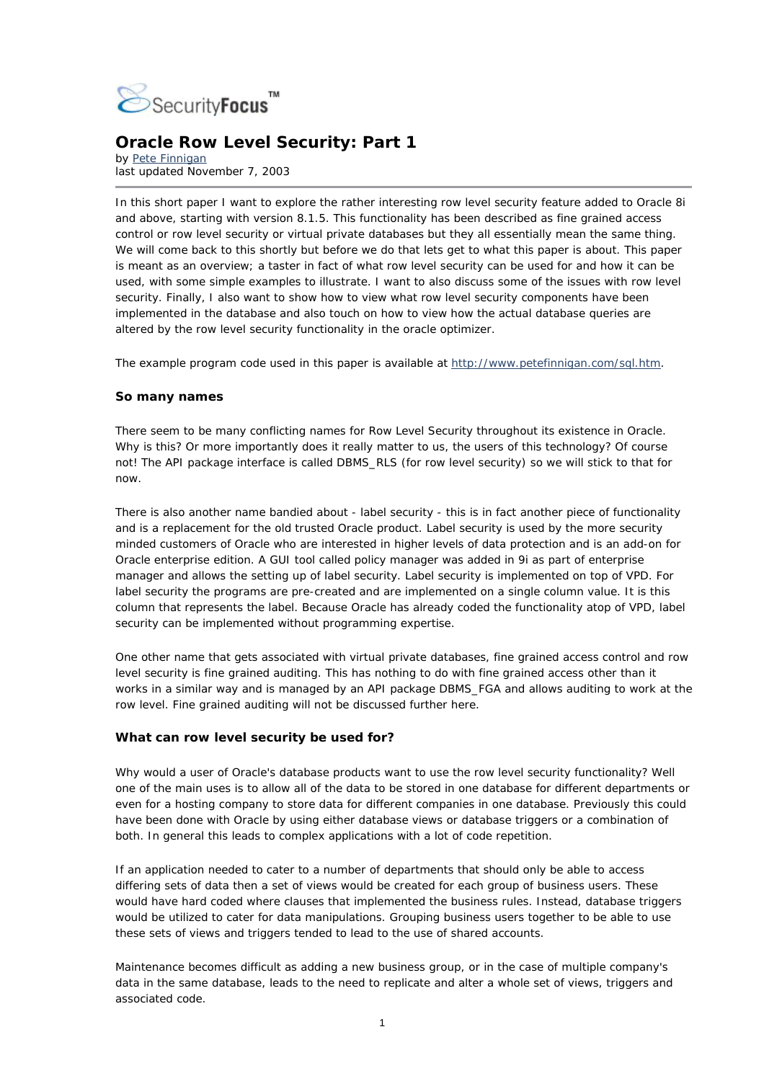

# **Oracle Row Level Security: Part 1**

*by* [Pete Finnigan](mailto:pete@petefinnigan.com)  last updated November 7, 2003

In this short paper I want to explore the rather interesting *row level security* feature added to Oracle 8i and above, starting with version 8.1.5. This functionality has been described as *fine grained access control* or *row level security* or *virtual private databases* but they all essentially mean the same thing. We will come back to this shortly but before we do that lets get to what this paper is about. This paper is meant as an overview; a taster in fact of what *row level security* can be used for and how it can be used, with some simple examples to illustrate. I want to also discuss some of the issues with row level security. Finally, I also want to show how to view what row level security components have been implemented in the database and also touch on how to view how the actual database queries are altered by the row level security functionality in the oracle optimizer.

The example program code used in this paper is available at <http://www.petefinnigan.com/sql.htm>.

# **So many names**

There seem to be many conflicting names for Row Level Security throughout its existence in Oracle. Why is this? Or more importantly does it really matter to us, the users of this technology? Of course not! The API package interface is called DBMS\_RLS (for row level security) so we will stick to that for now.

There is also another name bandied about - *label security* - this is in fact another piece of functionality and is a replacement for the old *trusted Oracle* product. Label security is used by the more security minded customers of Oracle who are interested in higher levels of data protection and is an add-on for Oracle enterprise edition. A GUI tool called *policy manager* was added in 9i as part of *enterprise manager* and allows the setting up of label security. Label security is implemented on top of VPD. For label security the programs are pre-created and are implemented on a single column value. It is this column that represents the label. Because Oracle has already coded the functionality atop of VPD, label security can be implemented without programming expertise.

One other name that gets associated with virtual private databases, fine grained access control and row level security is fine grained auditing. This has nothing to do with fine grained access other than it works in a similar way and is managed by an API package DBMS\_FGA and allows auditing to work at the row level. Fine grained auditing will not be discussed further here.

# **What can row level security be used for?**

Why would a user of Oracle's database products want to use the row level security functionality? Well one of the main uses is to allow all of the data to be stored in one database for different departments or even for a hosting company to store data for different companies in one database. Previously this could have been done with Oracle by using either database views or database triggers or a combination of both. In general this leads to complex applications with a lot of code repetition.

If an application needed to cater to a number of departments that should only be able to access differing sets of data then a set of views would be created for each group of business users. These would have hard coded *where clauses* that implemented the business rules. Instead, database triggers would be utilized to cater for data manipulations. Grouping business users together to be able to use these sets of views and triggers tended to lead to the use of shared accounts.

Maintenance becomes difficult as adding a new business group, or in the case of multiple company's data in the same database, leads to the need to replicate and alter a whole set of views, triggers and associated code.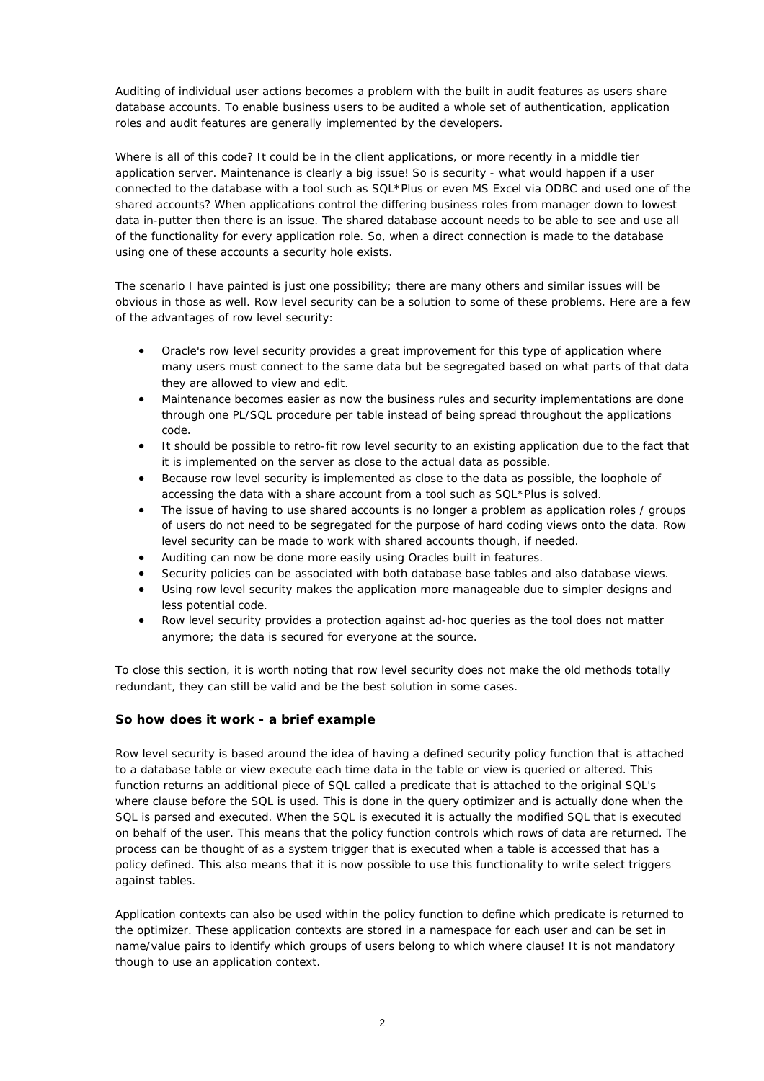Auditing of individual user actions becomes a problem with the built in audit features as users share database accounts. To enable business users to be audited a whole set of authentication, application roles and audit features are generally implemented by the developers.

Where is all of this code? It could be in the client applications, or more recently in a middle tier application server. Maintenance is clearly a big issue! So is security - what would happen if a user connected to the database with a tool such as *SQL\*Plus* or even MS Excel via ODBC and used one of the shared accounts? When applications control the differing business roles from manager down to lowest data in-putter then there is an issue. The shared database account needs to be able to see and use all of the functionality for every application role. So, when a direct connection is made to the database using one of these accounts a security hole exists.

The scenario I have painted is just one possibility; there are many others and similar issues will be obvious in those as well. Row level security can be a solution to some of these problems. Here are a few of the advantages of row level security:

- Oracle's row level security provides a great improvement for this type of application where many users must connect to the same data but be segregated based on what parts of that data they are allowed to view and edit.
- Maintenance becomes easier as now the business rules and security implementations are done through one PL/SQL procedure per table instead of being spread throughout the applications code.
- It should be possible to retro-fit row level security to an existing application due to the fact that it is implemented on the server as close to the actual data as possible.
- Because row level security is implemented as close to the data as possible, the loophole of accessing the data with a share account from a tool such as *SQL\*Plus* is solved.
- The issue of having to use shared accounts is no longer a problem as application roles / groups of users do not need to be segregated for the purpose of hard coding views onto the data. Row level security can be made to work with shared accounts though, if needed.
- Auditing can now be done more easily using Oracles built in features.
- Security policies can be associated with both database base tables and also database views.
- Using row level security makes the application more manageable due to simpler designs and less potential code.
- Row level security provides a protection against ad-hoc queries as the tool does not matter anymore; the data is secured for everyone at the source.

To close this section, it is worth noting that row level security does not make the old methods totally redundant, they can still be valid and be the best solution in some cases.

# **So how does it work - a brief example**

Row level security is based around the idea of having a defined security policy function that is attached to a database table or view execute each time data in the table or view is queried or altered. This function returns an additional piece of SQL called a predicate that is attached to the original SQL's *where clause* before the SQL is used. This is done in the query optimizer and is actually done when the SQL is parsed and executed. When the SQL is executed it is actually the modified SQL that is executed on behalf of the user. This means that the policy function controls which rows of data are returned. The process can be thought of as a system trigger that is executed when a table is accessed that has a policy defined. This also means that it is now possible to use this functionality to write *select triggers* against tables.

Application contexts can also be used within the policy function to define which predicate is returned to the optimizer. These application contexts are stored in a namespace for each user and can be set in name/value pairs to identify which groups of users belong to which *where* clause! It is not mandatory though to use an application context.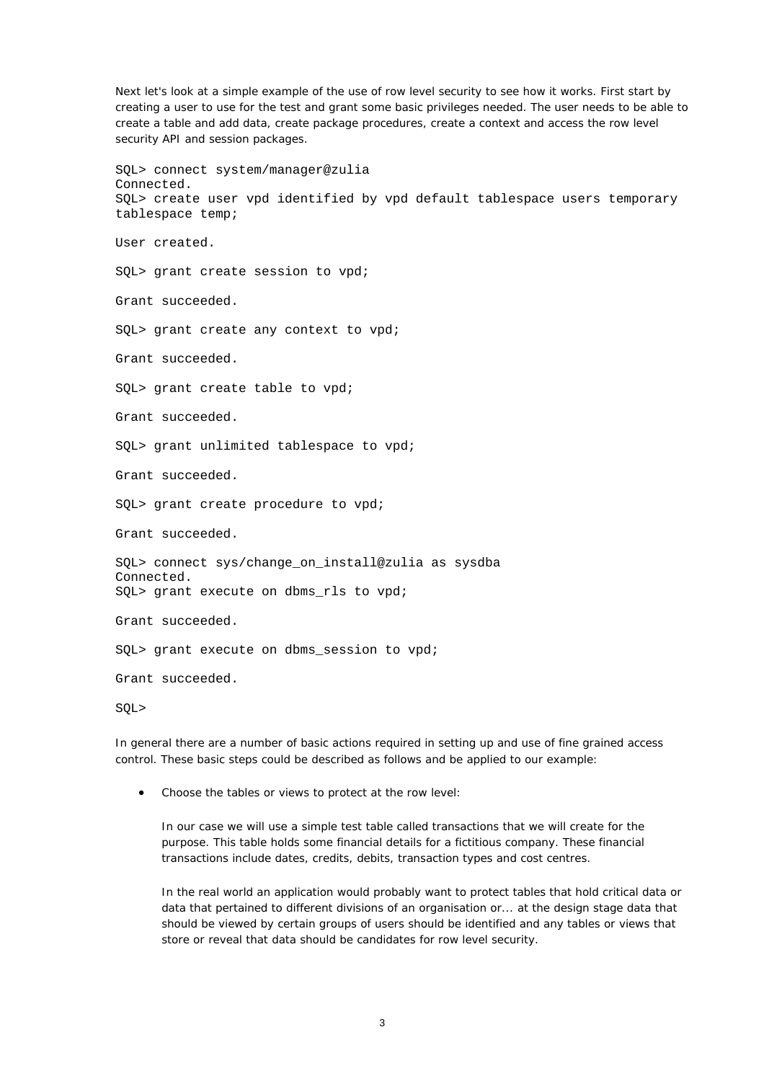Next let's look at a simple example of the use of *row level security* to see how it works. First start by creating a user to use for the test and grant some basic privileges needed. The user needs to be able to create a table and add data, create package procedures, create a context and access the row level security API and session packages.

SQL> connect system/manager@zulia Connected. SQL> create user vpd identified by vpd default tablespace users temporary tablespace temp; User created. SQL> grant create session to vpd; Grant succeeded. SQL> grant create any context to vpd; Grant succeeded. SQL> grant create table to vpd; Grant succeeded. SQL> grant unlimited tablespace to vpd; Grant succeeded. SQL> grant create procedure to vpd; Grant succeeded. SQL> connect sys/change\_on\_install@zulia as sysdba Connected. SQL> grant execute on dbms\_rls to vpd; Grant succeeded. SQL> grant execute on dbms session to vpd; Grant succeeded. SQL>

In general there are a number of basic actions required in setting up and use of *fine grained access control*. These basic steps could be described as follows and be applied to our example:

• *Choose the tables or views to protect at the row level:*

In our case we will use a simple test table called *transactions* that we will create for the purpose. This table holds some financial details for a fictitious company. These financial transactions include dates, credits, debits, transaction types and cost centres.

In the real world an application would probably want to protect tables that hold critical data or data that pertained to different divisions of an organisation or... at the design stage data that should be viewed by certain groups of users should be identified and any tables or views that store or reveal that data should be candidates for *row level security*.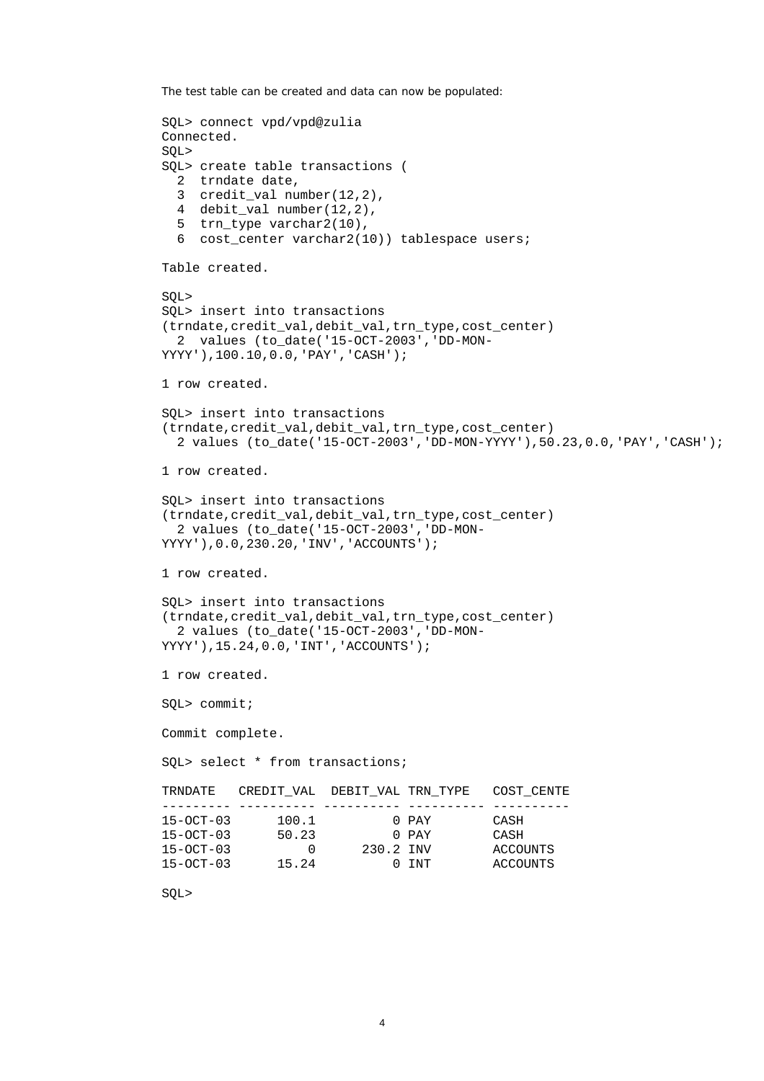The test table can be created and data can now be populated:

```
SQL> connect vpd/vpd@zulia 
Connected. 
SQL> 
SQL> create table transactions ( 
  2 trndate date, 
  3 credit_val number(12,2), 
  4 debit_val number(12,2), 
  5 trn_type varchar2(10), 
  6 cost center varchar2(10)) tablespace users;
Table created. 
SQL> 
SQL> insert into transactions 
(trndate,credit_val,debit_val,trn_type,cost_center) 
  2 values (to_date('15-OCT-2003','DD-MON-
YYYY'),100.10,0.0,'PAY','CASH'); 
1 row created. 
SQL> insert into transactions 
(trndate,credit_val,debit_val,trn_type,cost_center) 
   2 values (to_date('15-OCT-2003','DD-MON-YYYY'),50.23,0.0,'PAY','CASH'); 
1 row created. 
SQL> insert into transactions 
(trndate,credit_val,debit_val,trn_type,cost_center) 
  2 values (to_date('15-OCT-2003','DD-MON-
YYYY'),0.0,230.20,'INV','ACCOUNTS'); 
1 row created. 
SQL> insert into transactions 
(trndate,credit_val,debit_val,trn_type,cost_center) 
   2 values (to_date('15-OCT-2003','DD-MON-
YYYY'),15.24,0.0,'INT','ACCOUNTS'); 
1 row created. 
SQL> commit; 
Commit complete. 
SQL> select * from transactions; 
TRNDATE CREDIT_VAL DEBIT_VAL TRN_TYPE COST_CENTE
--------- ---------- ---------- ---------- ---------- 
15-OCT-03 100.1 0 PAY CASH 
15-OCT-03 50.23 0 PAY CASH 
15-OCT-03 0 230.2 INV ACCOUNTS 
15-OCT-03 15.24 0 INT ACCOUNTS
```

```
SQL>
```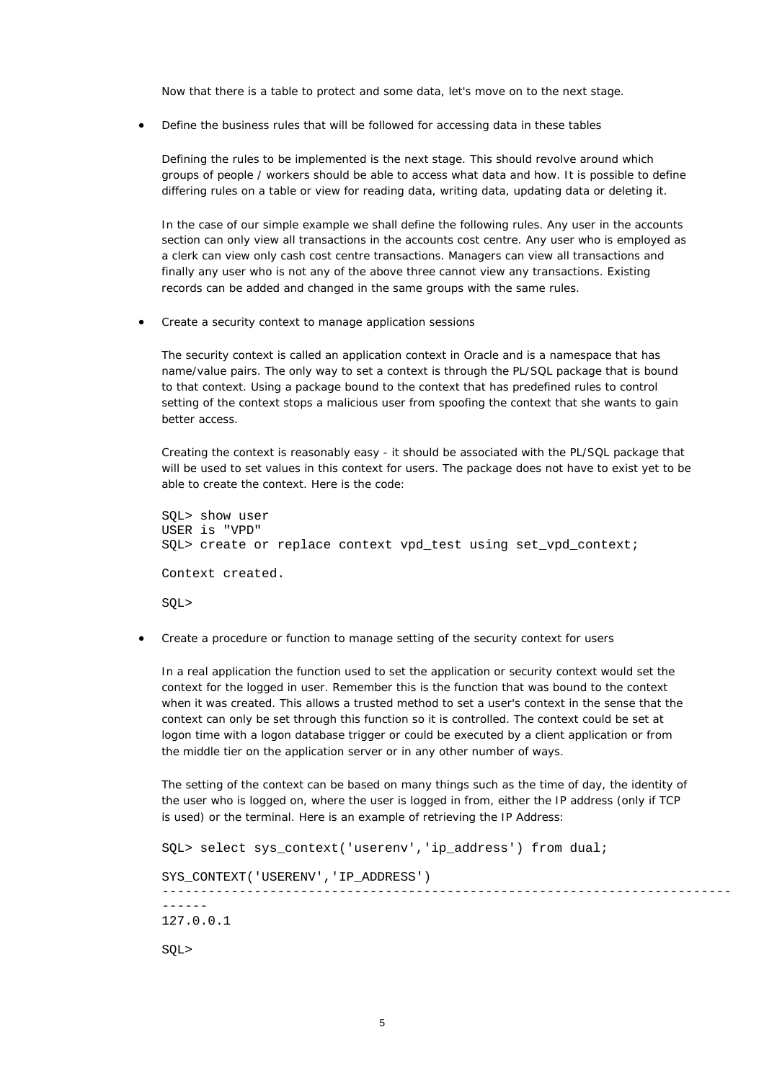Now that there is a table to protect and some data, let's move on to the next stage.

• *Define the business rules that will be followed for accessing data in these tables*

Defining the rules to be implemented is the next stage. This should revolve around which groups of people / workers should be able to access what data and how. It is possible to define differing rules on a table or view for reading data, writing data, updating data or deleting it.

In the case of our simple example we shall define the following rules. Any user in the *accounts* section can only view all transactions in the *accounts* cost centre. Any user who is employed as a *clerk* can view only *cash* cost centre transactions. *Managers* can view all transactions and finally any user who is not any of the above three cannot view any transactions. Existing records can be added and changed in the same groups with the same rules.

• *Create a security context to manage application sessions*

The security context is called an *application context* in Oracle and is a *namespace* that has name/value pairs. The only way to set a context is through the PL/SQL package that is bound to that context. Using a package bound to the context that has predefined rules to control setting of the context stops a malicious user from spoofing the context that she wants to gain better access.

Creating the context is reasonably easy - it should be associated with the PL/SQL package that will be used to set values in this context for users. The package does not have to exist yet to be able to create the context. Here is the code:

SQL> show user USER is "VPD" SQL> create or replace context vpd\_test using set\_vpd\_context; Context created. SQL>

• *Create a procedure or function to manage setting of the security context for users*

In a real application the function used to set the application or security context would set the context for the logged in user. Remember this is the function that was *bound* to the context when it was created. This allows a trusted method to set a user's context in the sense that the context can only be set through this function so it is controlled. The context could be set at logon time with a logon database trigger or could be executed by a client application or from the middle tier on the application server or in any other number of ways.

The setting of the context can be based on many things such as the time of day, the identity of the user who is logged on, where the user is logged in from, either the IP address (only if TCP is used) or the terminal. Here is an example of retrieving the IP Address:

```
SQL> select sys_context('userenv','ip_address') from dual; 
SYS_CONTEXT('USERENV','IP_ADDRESS')
--------------------------------------------------------------------------
------ 
127.0.0.1 
SQL>
```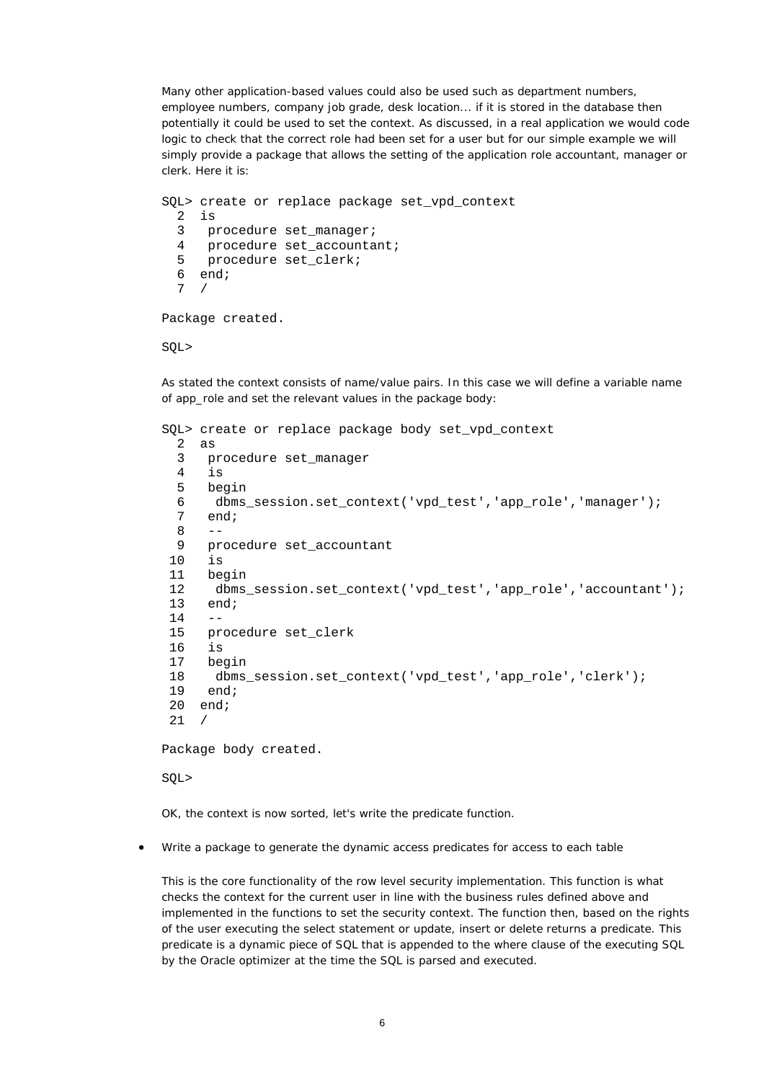Many other application-based values could also be used such as department numbers, employee numbers, company job grade, desk location... if it is stored in the database then potentially it could be used to set the context. As discussed, in a real application we would code logic to check that the correct role had been set for a user but for our simple example we will simply provide a package that allows the setting of the application role *accountant*, *manager* or *clerk*. Here it is:

```
SQL> create or replace package set_vpd_context 
   2 is 
   3 procedure set_manager; 
   4 procedure set_accountant; 
   5 procedure set_clerk; 
  6 end;
   7 /
```
Package created.

SQL>

As stated the context consists of name/value pairs. In this case we will define a variable name of *app\_role* and set the relevant values in the package body:

```
SQL> create or replace package body set vpd context
   2 as 
   3 procedure set_manager 
       4 is 
   5 begin 
  6 dbms_session.set_context('vpd_test','app_role','manager');<br>7 end:
      end;\frac{8}{9} 9 procedure set_accountant 
 10 is
  11 begin 
  12 dbms_session.set_context('vpd_test','app_role','accountant'); 
  13 end; 
 14 15 procedure set_clerk 
  16 is 
  17 begin 
  18 dbms_session.set_context('vpd_test','app_role','clerk'); 
  19 end; 
  20 end; 
  21 /
```
Package body created.

SQL>

OK, the context is now sorted, let's write the predicate function.

• *Write a package to generate the dynamic access predicates for access to each table*

This is the core functionality of the *row level security* implementation. This function is what checks the context for the current user in line with the business rules defined above and implemented in the functions to set the security context. The function then, based on the rights of the user executing the *select* statement or *update*, *insert* or *delete* returns a predicate. This predicate is a dynamic piece of SQL that is appended to the *where clause* of the executing SQL by the Oracle optimizer at the time the SQL is parsed and executed.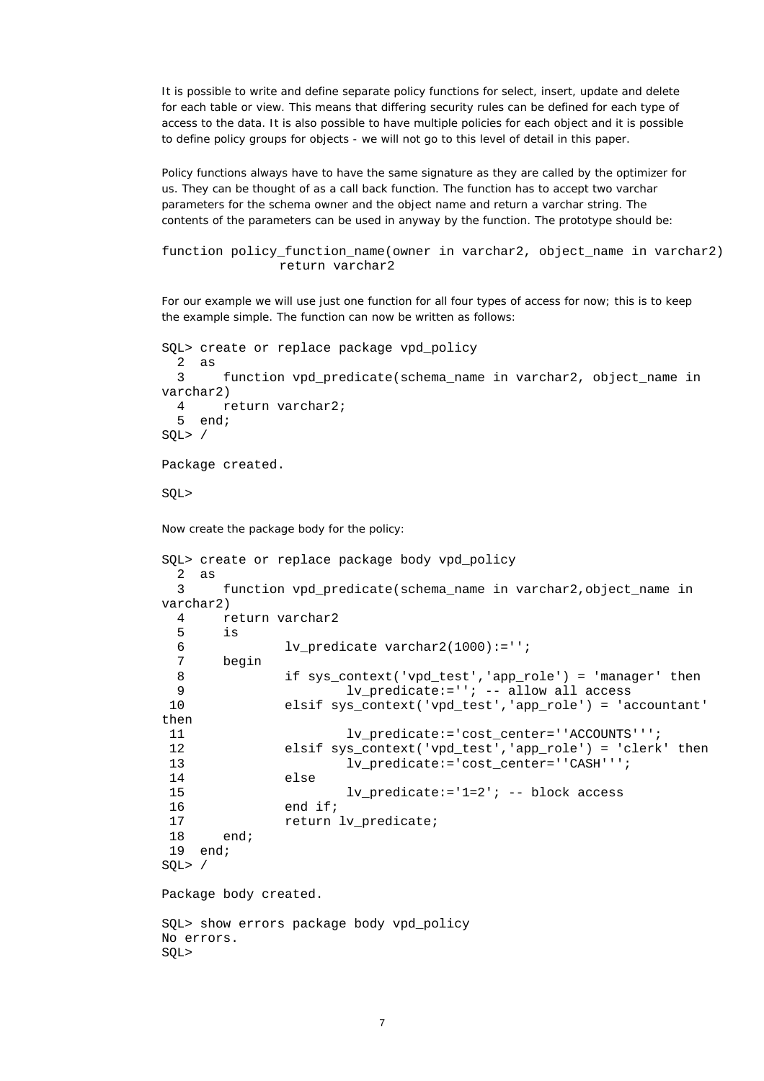It is possible to write and define separate policy functions for *select*, *insert*, *update* and *delete* for each table or view. This means that differing security rules can be defined for each type of access to the data. It is also possible to have multiple policies for each object and it is possible to define policy groups for objects - we will not go to this level of detail in this paper.

Policy functions always have to have the same *signature* as they are called by the optimizer for us. They can be thought of as a *call back function*. The function has to accept two varchar parameters for the schema owner and the object name and return a varchar string. The contents of the parameters can be used in anyway by the function. The prototype should be:

```
function policy_function_name(owner in varchar2, object_name in varchar2) 
                 return varchar2
```
For our example we will use just one function for all four types of access for now; this is to keep the example simple. The function can now be written as follows:

```
SQL> create or replace package vpd_policy 
  2 as 
  3 function vpd_predicate(schema_name in varchar2, object_name in 
varchar2) 
  4 return varchar2; 
  5 end; 
SQL> / 
Package created. 
SQL> 
Now create the package body for the policy: 
SQL> create or replace package body vpd_policy 
  2 as 
  3 function vpd_predicate(schema_name in varchar2,object_name in 
varchar2) 
  4 return varchar2 
  5 is 
  6 lv_predicate varchar2(1000):=''; 
  7 begin 
 8 if sys_context('vpd_test','app_role') = 'manager' then 
 9 lv_predicate:=''; -- allow all access 
 10 elsif sys_context('vpd_test','app_role') = 'accountant' 
then 
11 lv predicate:='cost_center=''ACCOUNTS''';
 12 elsif sys_context('vpd_test','app_role') = 'clerk' then 
13 lv predicate:='cost_center=''CASH''';
 14 else 
 15 lv_predicate:='1=2'; -- block access 
 16 end if; 
17 return lv_predicate;
 18 end; 
 19 end; 
SQL> / 
Package body created. 
SQL> show errors package body vpd_policy
```
No errors. SQL>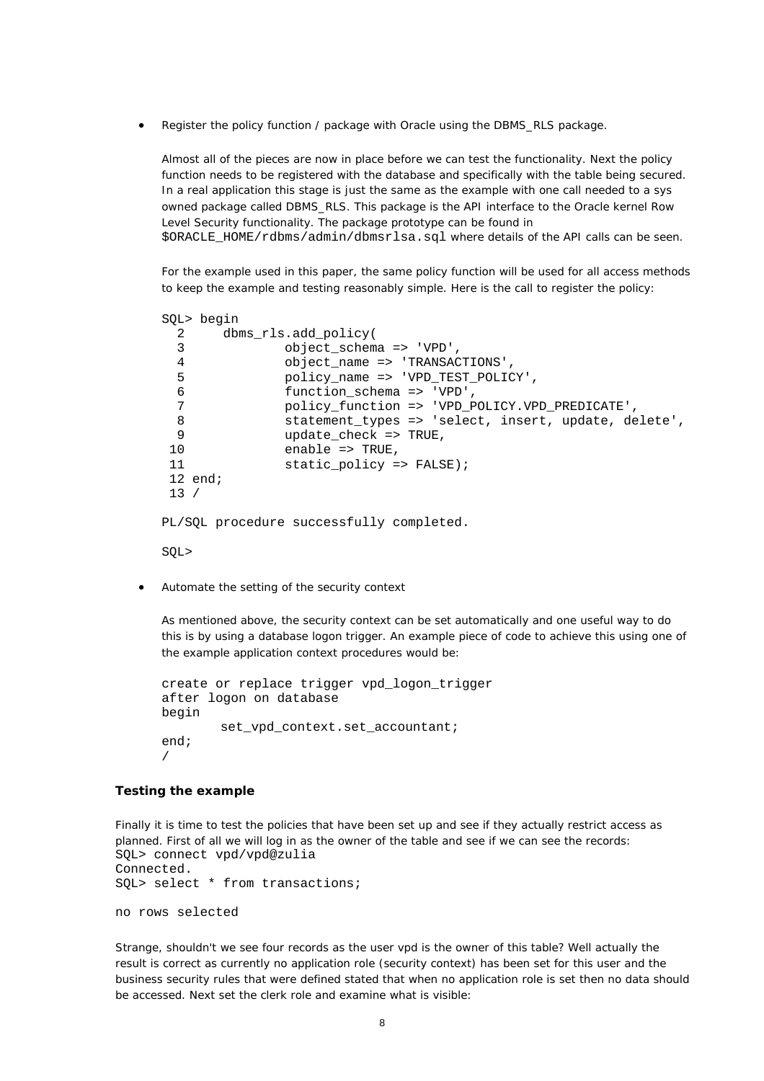• *Register the policy function / package with Oracle using the DBMS\_RLS package.*

Almost all of the pieces are now in place before we can test the functionality. Next the policy function needs to be registered with the database and specifically with the table being secured. In a real application this stage is just the same as the example with one call needed to a sys owned package called DBMS\_RLS. This package is the API interface to the Oracle kernel Row Level Security functionality. The package prototype can be found in \$ORACLE\_HOME/rdbms/admin/dbmsrlsa.sql where details of the API calls can be seen.

For the example used in this paper, the same policy function will be used for all access methods to keep the example and testing reasonably simple. Here is the call to register the policy:

```
SQL> begin 
  2 dbms_rls.add_policy( 
  3 object_schema => 'VPD', 
  4 object_name => 'TRANSACTIONS', 
  5 policy_name => 'VPD_TEST_POLICY', 
  6 function_schema => 'VPD', 
  7 policy_function => 'VPD_POLICY.VPD_PREDICATE', 
 8 statement types => 'select, insert, update, delete',
 9 vpdate check => TRUE,
10 enable => TRUE,
11 static_policy => FALSE);
 12 end; 
 13 / 
PL/SQL procedure successfully completed. 
SQL>
```
• *Automate the setting of the security context*

As mentioned above, the security context can be set automatically and one useful way to do this is by using a *database logon trigger*. An example piece of code to achieve this using one of the example application context procedures would be:

```
create or replace trigger vpd_logon_trigger 
after logon on database 
begin 
        set vpd context.set accountant;
end; 
/
```
### **Testing the example**

Finally it is time to test the policies that have been set up and see if they actually restrict access as planned. First of all we will log in as the owner of the table and see if we can see the records: SQL> connect vpd/vpd@zulia Connected. SQL> select \* from transactions; no rows selected

Strange, shouldn't we see four records as the user *vpd* is the owner of this table? Well actually the result is correct as currently no application role (security context) has been set for this user and the business security rules that were defined stated that when no application role is set then no data should be accessed. Next set the *clerk* role and examine what is visible: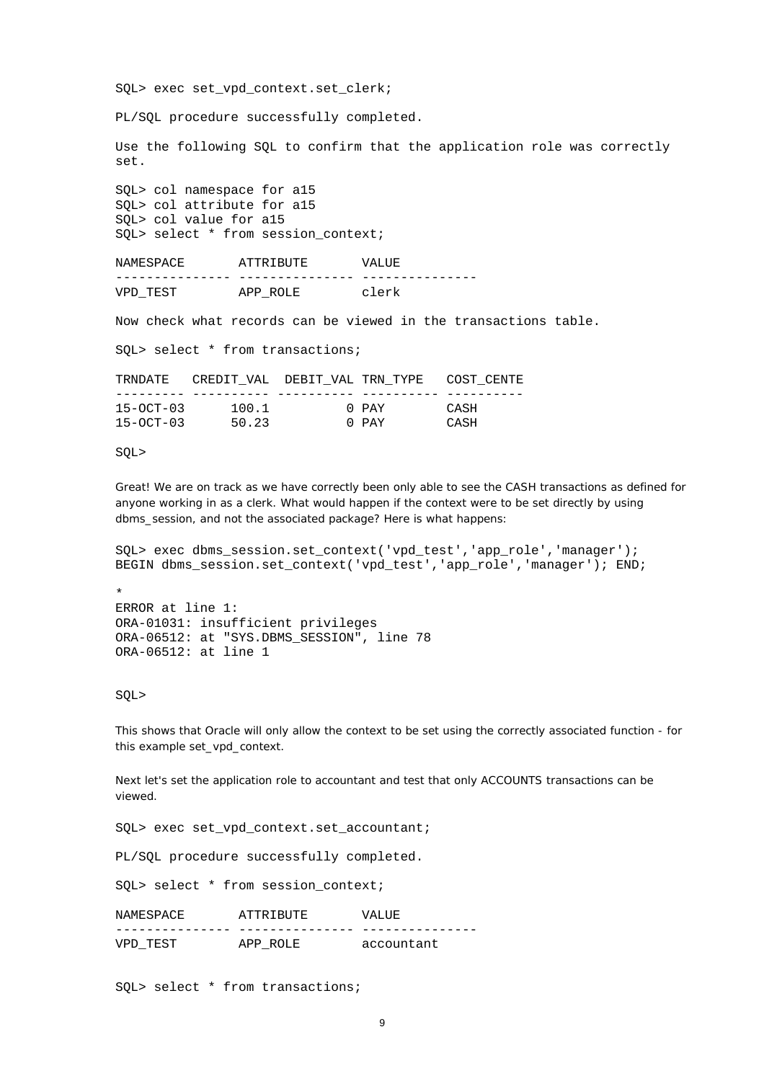SQL> exec set\_vpd\_context.set\_clerk;

PL/SQL procedure successfully completed.

Use the following SQL to confirm that the application role was correctly set.

SQL> col namespace for a15 SQL> col attribute for a15 SQL> col value for a15 SOL> select \* from session context;

NAMESPACE ATTRIBUTE VALUE --------------- --------------- --------------- VPD\_TEST APP\_ROLE clerk

Now check what records can be viewed in the transactions table.

SQL> select \* from transactions;

| TRNDATE         | CREDIT VAL DEBIT VAL TRN TYPE COST CENTE |       |      |
|-----------------|------------------------------------------|-------|------|
|                 |                                          |       |      |
| $15 - OCT - 03$ | 100.1                                    | O PAY | CASH |
| $15 - OCT - 03$ | 50.23                                    | 0 PAY | CASH |

#### SQL>

Great! We are on track as we have correctly been only able to see the CASH transactions as defined for anyone working in as a *clerk*. What would happen if the context were to be set directly by using dbms session, and not the associated package? Here is what happens:

SQL> exec dbms\_session.set\_context('vpd\_test','app\_role','manager'); BEGIN dbms\_session.set\_context('vpd\_test','app\_role','manager'); END;

```
* 
ERROR at line 1: 
ORA-01031: insufficient privileges 
ORA-06512: at "SYS.DBMS_SESSION", line 78 
ORA-06512: at line 1
```
SQL>

This shows that Oracle will only allow the context to be set using the correctly associated function - for this example *set\_vpd\_context*.

Next let's set the application role to *accountant* and test that only ACCOUNTS transactions can be viewed.

SQL> exec set\_vpd\_context.set\_accountant;

PL/SQL procedure successfully completed.

SQL> select \* from session\_context;

NAMESPACE ATTRIBUTE VALUE --------------- --------------- --------------- VPD\_TEST APP\_ROLE accountant

SQL> select \* from transactions;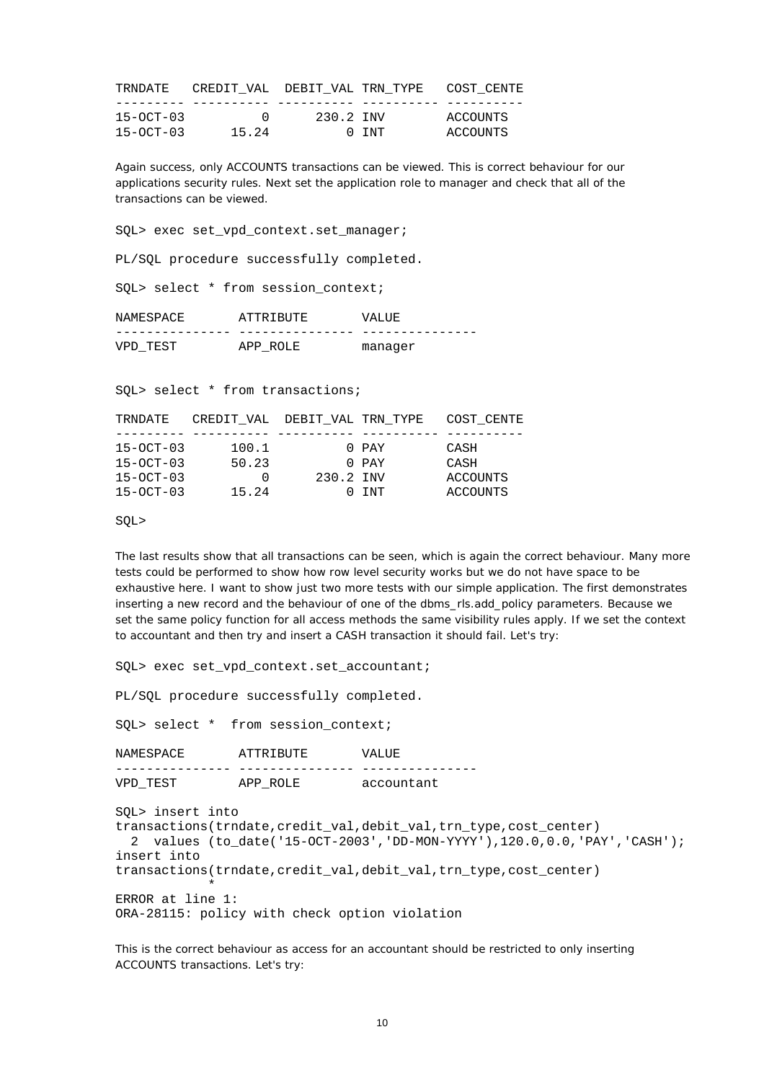| TRNDATE         | CREDIT VAL DEBIT VAL TRN TYPE COST CENTE |           |       |          |
|-----------------|------------------------------------------|-----------|-------|----------|
|                 |                                          |           |       |          |
| $15 - OCT - 03$ | $\Box$                                   | 230.2 INV |       | ACCOUNTS |
| $15 - OCT - 03$ | 15.24                                    |           | 0 TNT | ACCOUNTS |

Again success, only ACCOUNTS transactions can be viewed. This is correct behaviour for our applications security rules. Next set the application role to *manager* and check that all of the transactions can be viewed.

SQL> exec set\_vpd\_context.set\_manager;

PL/SQL procedure successfully completed.

SQL> select \* from session\_context;

| NAMESPACE | ATTRIBUTE | VALUE   |
|-----------|-----------|---------|
|           |           |         |
| VPD TEST  | APP ROLE  | manager |

SQL> select \* from transactions;

| TRNDATE         | CREDIT VAL DEBIT VAL TRN TYPE |           |           | COST CENTE |
|-----------------|-------------------------------|-----------|-----------|------------|
|                 |                               |           |           |            |
| $15 - OCT - 03$ | 100.1                         |           | $0$ $PAY$ | CASH       |
| $15 - OCT - 03$ | 50.23                         |           | $0$ $PAY$ | CASH       |
| $15-0CT-03$     | $\left($                      | 230.2 INV |           | ACCOUNTS   |
| $15 - OCT - 03$ | 15.24                         |           | 0 TNT     | ACCOUNTS   |

SQL>

The last results show that all transactions can be seen, which is again the correct behaviour. Many more tests could be performed to show how row level security works but we do not have space to be exhaustive here. I want to show just two more tests with our simple application. The first demonstrates inserting a new record and the behaviour of one of the dbms\_rls.add\_policy parameters. Because we set the same policy function for all access methods the same visibility rules apply. If we set the context to *accountant* and then try and insert a CASH transaction it should fail. Let's try:

SQL> exec set\_vpd\_context.set\_accountant;

PL/SQL procedure successfully completed.

SOL> select \* from session context;

NAMESPACE ATTRIBUTE VALUE --------------- --------------- --------------- VPD\_TEST APP\_ROLE accountant

SQL> insert into transactions(trndate,credit\_val,debit\_val,trn\_type,cost\_center) 2 values (to\_date('15-OCT-2003','DD-MON-YYYY'),120.0,0.0,'PAY','CASH'); insert into transactions(trndate, credit val,debit val,trn type, cost center)  $\star$ ERROR at line 1: ORA-28115: policy with check option violation

This is the correct behaviour as access for an accountant should be restricted to only inserting ACCOUNTS transactions. Let's try: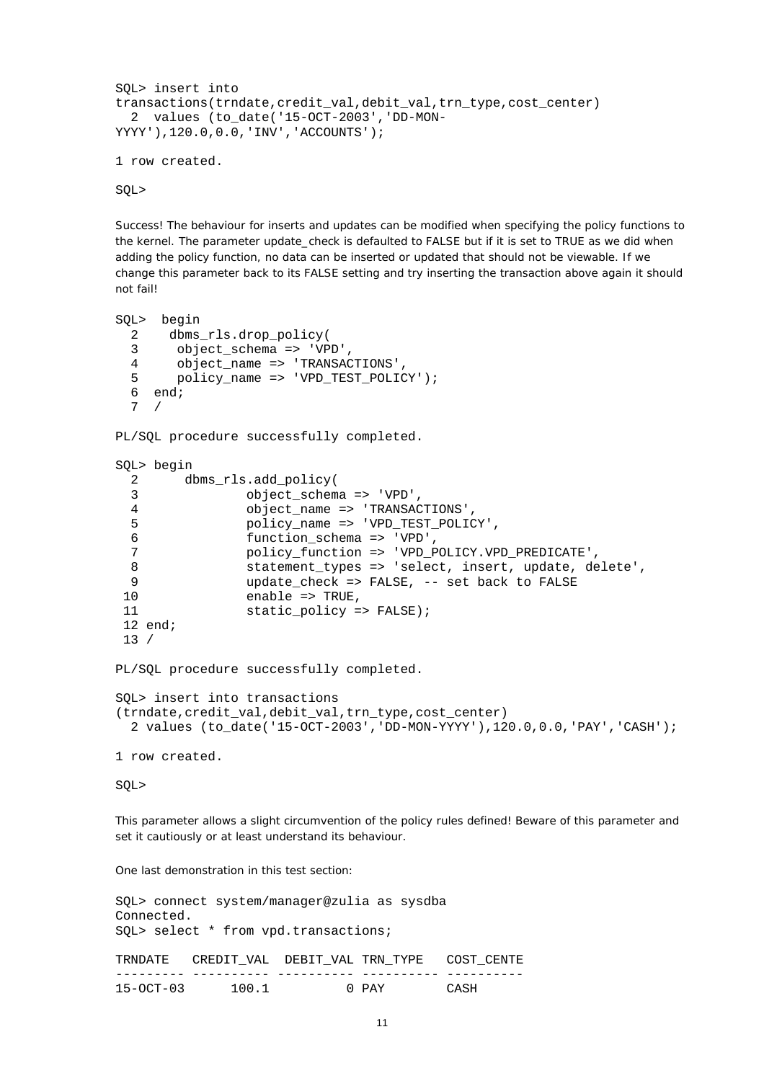```
SQL> insert into 
transactions(trndate,credit_val,debit_val,trn_type,cost_center)
   2 values (to_date('15-OCT-2003','DD-MON-
YYYY'),120.0,0.0,'INV','ACCOUNTS'); 
1 row created.
```
SQL>

Success! The behaviour for inserts and updates can be modified when specifying the policy functions to the kernel. The parameter update\_check is defaulted to FALSE but if it is set to TRUE as we did when adding the policy function, no data can be inserted or updated that should not be viewable. If we change this parameter back to its FALSE setting and try inserting the transaction above again it should not fail!

```
SQL> begin 
 2 dbms rls.drop policy(
 3 object schema => 'VPD',
 4 object name => 'TRANSACTIONS',
 5 policy name => 'VPD TEST POLICY');
  6 end; 
  7 / 
PL/SQL procedure successfully completed. 
SQL> begin 
  2 dbms_rls.add_policy( 
  3 object_schema => 'VPD', 
 4 object name => 'TRANSACTIONS',
  5 policy_name => 'VPD_TEST_POLICY', 
  6 function_schema => 'VPD', 
                 7 policy_function => 'VPD_POLICY.VPD_PREDICATE', 
  8 statement_types => 'select, insert, update, delete', 
9 update_check => FALSE, -- set back to FALSE<br>10 enable => TRUE,
                enable => TRUE,
11 static_policy => FALSE);
 12 end; 
 13 / 
PL/SQL procedure successfully completed. 
SQL> insert into transactions 
(trndate,credit_val,debit_val,trn_type,cost_center) 
  2 values (to_date('15-OCT-2003','DD-MON-YYYY'),120.0,0.0,'PAY','CASH'); 
1 row created. 
SQL>
```
This parameter allows a *slight* circumvention of the policy rules defined! Beware of this parameter and set it cautiously or at least understand its behaviour.

One last demonstration in this test section:

| Connected.  | SQL> connect system/manager@zulia as sysdba      |       |      |
|-------------|--------------------------------------------------|-------|------|
|             | SQL> select * from vpd.transactions;             |       |      |
|             | TRNDATE CREDIT VAL DEBIT VAL TRN TYPE COST CENTE |       |      |
| $15-OCT-03$ | 100.1                                            | 0 PAY | CASH |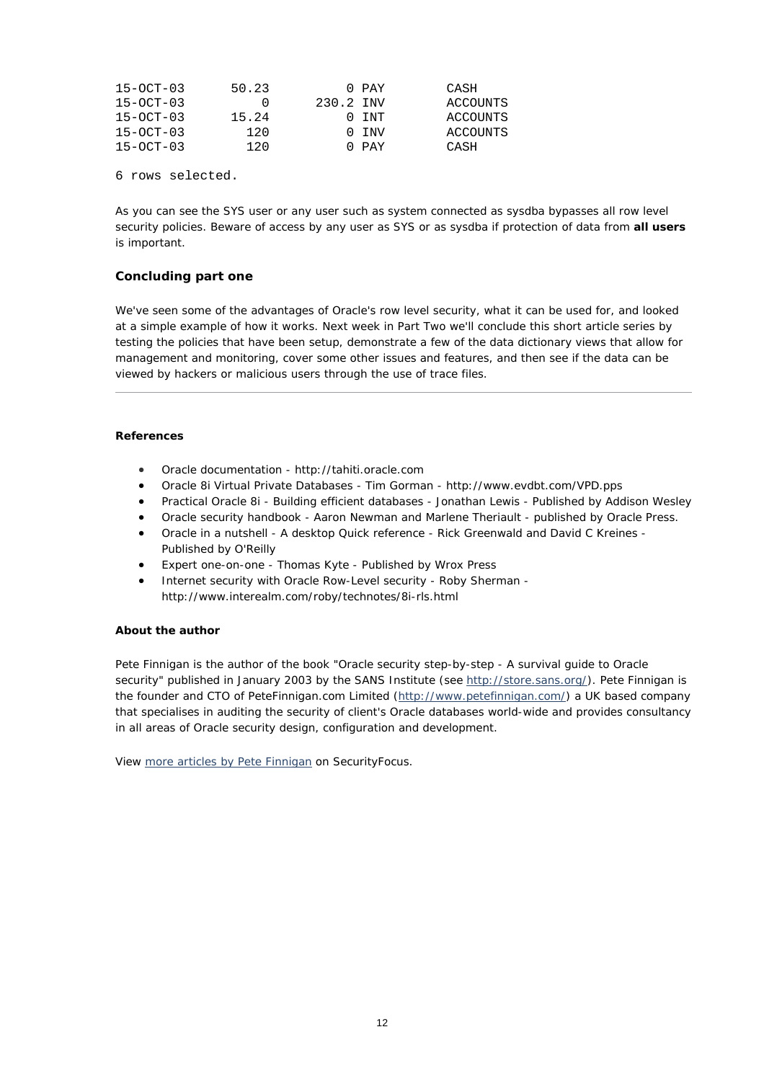| $15 - OCT - 03$ | 50.23 |           | 0 PAY    | CASH     |
|-----------------|-------|-----------|----------|----------|
| $15 - OCT - 03$ |       | 230.2 INV |          | ACCOUNTS |
| $15 - OCT - 03$ | 15.24 |           | $0.1N$ T | ACCOUNTS |
| $15 - OCT - 03$ | 120   |           | 0 INV    | ACCOUNTS |
| $15 - OCT - 03$ | 120   |           | 0 PAY    | CASH     |

6 rows selected.

As you can see the SYS user or any user such as *system* connected as *sysdba* bypasses all row level security policies. Beware of access by any user as SYS or as *sysdba* if protection of data from **all users** is important.

# **Concluding part one**

We've seen some of the advantages of Oracle's row level security, what it can be used for, and looked at a simple example of how it works. Next week in Part Two we'll conclude this short article series by testing the policies that have been setup, demonstrate a few of the data dictionary views that allow for management and monitoring, cover some other issues and features, and then see if the data can be viewed by hackers or malicious users through the use of trace files.

### **References**

- Oracle documentation http://tahiti.oracle.com
- Oracle 8i Virtual Private Databases Tim Gorman http://www.evdbt.com/VPD.pps
- Practical Oracle 8i Building efficient databases Jonathan Lewis Published by Addison Wesley
- Oracle security handbook Aaron Newman and Marlene Theriault published by Oracle Press.
- Oracle in a nutshell A desktop Quick reference Rick Greenwald and David C Kreines Published by O'Reilly
- Expert one-on-one Thomas Kyte Published by Wrox Press
- Internet security with Oracle Row-Level security Roby Sherman http://www.interealm.com/roby/technotes/8i-rls.html

#### **About the author**

Pete Finnigan is the author of the book "Oracle security step-by-step - A survival guide to Oracle security" published in January 2003 by the SANS Institute (see<http://store.sans.org/>). Pete Finnigan is the founder and CTO of PeteFinnigan.com Limited [\(http://www.petefinnigan.com/\)](http://www.petefinnigan.com/) a UK based company that specialises in auditing the security of client's Oracle databases world-wide and provides consultancy in all areas of Oracle security design, configuration and development.

View [more articles by Pete Finnigan](http://www.securityfocus.com/search?category=13&query=pete+finnigan) on SecurityFocus.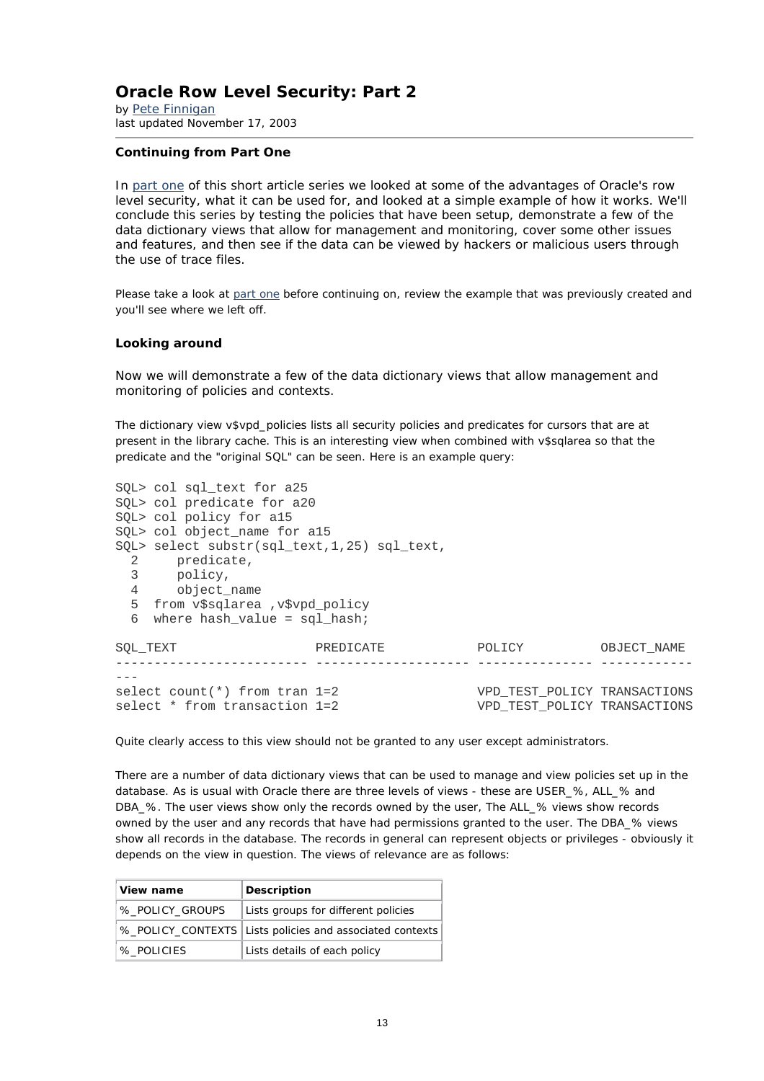# **Oracle Row Level Security: Part 2**

*by* [Pete Finnigan](mailto:pete@petefinnigan.com) last updated November 17, 2003

### **Continuing from Part One**

In [part one](http://www.securityfocus.com/infocus/1743) of this short article series we looked at some of the advantages of Oracle's row level security, what it can be used for, and looked at a simple example of how it works. We'll conclude this series by testing the policies that have been setup, demonstrate a few of the data dictionary views that allow for management and monitoring, cover some other issues and features, and then see if the data can be viewed by hackers or malicious users through the use of trace files.

Please take a look at [part one](http://www.securityfocus.com/infocus/1743) before continuing on, review the example that was previously created and you'll see where we left off.

### **Looking around**

Now we will demonstrate a few of the data dictionary views that allow management and monitoring of policies and contexts.

The dictionary view v\$vpd\_policies lists all security policies and predicates for cursors that are at present in the library cache. This is an interesting view when combined with v\$sqlarea so that the predicate and the "original SQL" can be seen. Here is an example query:

|                | SQL> col sql text for a25                     |           |                              |             |
|----------------|-----------------------------------------------|-----------|------------------------------|-------------|
|                | SOL> col predicate for a20                    |           |                              |             |
|                | SOL> col policy for a15                       |           |                              |             |
|                | SOL> col object name for a15                  |           |                              |             |
|                | SQL> select substr(sql text, 1, 25) sql text, |           |                              |             |
| 2              | predicate,                                    |           |                              |             |
| 3              | policy,                                       |           |                              |             |
| $\overline{4}$ | object name                                   |           |                              |             |
|                | 5 from v\$sqlarea , v\$vpd_policy             |           |                              |             |
| 6              | where hash value = $\text{sgl hash}$          |           |                              |             |
| SOL TEXT       |                                               | PREDICATE | POLICY                       | OBJECT NAME |
|                |                                               |           |                              |             |
|                |                                               |           |                              |             |
|                | select count $(*)$ from tran $1=2$            |           | VPD TEST POLICY TRANSACTIONS |             |
|                | select * from transaction 1=2                 |           | VPD TEST POLICY TRANSACTIONS |             |

Quite clearly access to this view should not be granted to any user except administrators.

There are a number of data dictionary views that can be used to manage and view policies set up in the database. As is usual with Oracle there are three levels of views - these are USER\_%, ALL\_% and DBA\_%. The user views show only the records owned by the user, The ALL\_% views show records owned by the user and any records that have had permissions granted to the user. The DBA\_% views show all records in the database. The records in general can represent objects or privileges - obviously it depends on the view in question. The views of relevance are as follows:

| View name       | Description                                                |
|-----------------|------------------------------------------------------------|
| % POLICY GROUPS | Lists groups for different policies                        |
|                 | %_POLICY_CONTEXTS   Lists policies and associated contexts |
| % POLICIES      | Lists details of each policy                               |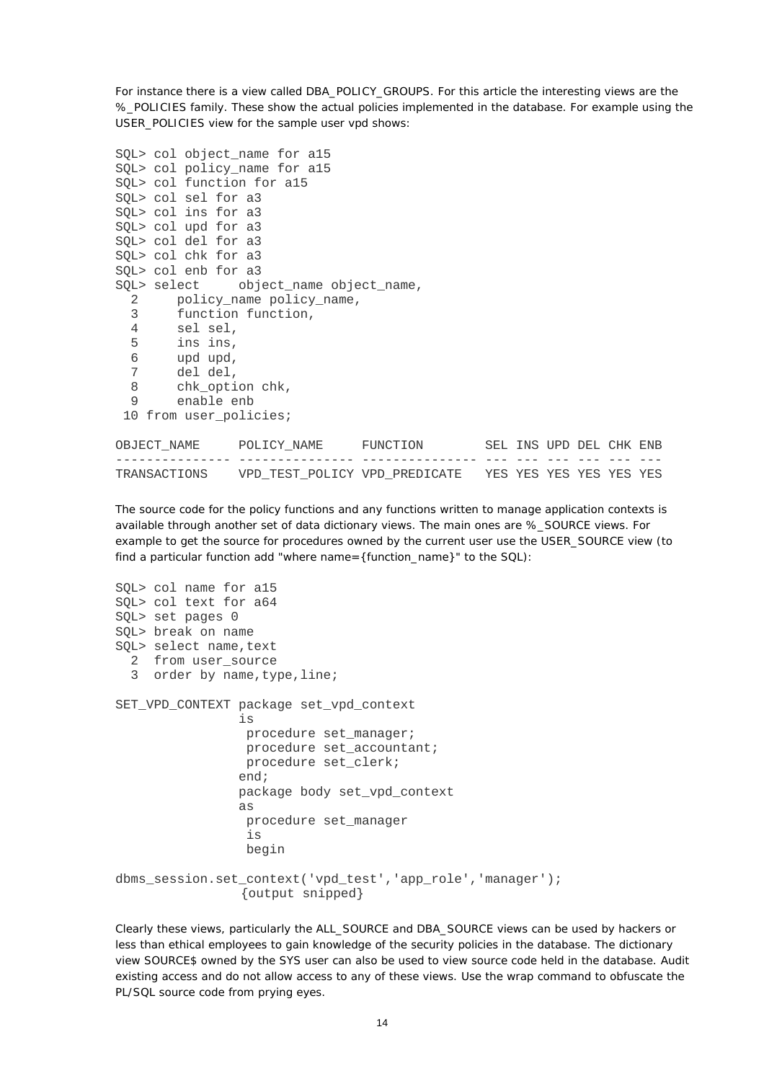For instance there is a view called DBA\_POLICY\_GROUPS. For this article the interesting views are the %\_POLICIES family. These show the actual policies implemented in the database. For example using the USER\_POLICIES view for the sample user *vpd* shows:

```
SQL> col object_name for a15 
SQL> col policy name for a15
SQL> col function for a15 
SQL> col sel for a3 
SQL> col ins for a3 
SQL> col upd for a3 
SQL> col del for a3 
SQL> col chk for a3 
SQL> col enb for a3 
SOL> select object name object name,
  2 policy name policy name,
   3 function function, 
  4 sel sel,<br>5 ins ins,
        5 ins ins, 
  6 upd upd,<br>7 del del.
       del del,
   8 chk_option chk, 
  9 enable enb 
  10 from user_policies;
```

| OBJECT NAME  | POLICY NAME                   | FUNCTION |  | SEL INS UPD DEL CHK ENB |  |  |
|--------------|-------------------------------|----------|--|-------------------------|--|--|
|              |                               |          |  |                         |  |  |
| TRANSACTIONS | VPD TEST POLICY VPD PREDICATE |          |  | YES YES YES YES YES YES |  |  |

The source code for the policy functions and any functions written to manage application contexts is available through another set of data dictionary views. The main ones are %\_SOURCE views. For example to get the source for procedures owned by the current user use the USER\_SOURCE view (to find a particular function add "where name={function\_name}" to the SQL):

```
SQL> col name for a15 
SQL> col text for a64 
SQL> set pages 0 
SQL> break on name 
SQL> select name, text
  2 from user_source 
 3 order by name, type, line;
SET_VPD_CONTEXT package set_vpd_context 
 is 
                 procedure set_manager; 
                procedure set accountant;
                 procedure set_clerk; 
                end; 
                package body set_vpd_context 
 as 
                 procedure set_manager 
 is 
                 begin 
dbms_session.set_context('vpd_test','app_role','manager'); 
                 {output snipped}
```
Clearly these views, particularly the ALL\_SOURCE and DBA\_SOURCE views can be used by hackers or less than ethical employees to gain knowledge of the security policies in the database. The dictionary view SOURCE\$ owned by the SYS user can also be used to view source code held in the database. Audit existing access and do not allow access to any of these views. Use the *wrap* command to obfuscate the PL/SQL source code from prying eyes.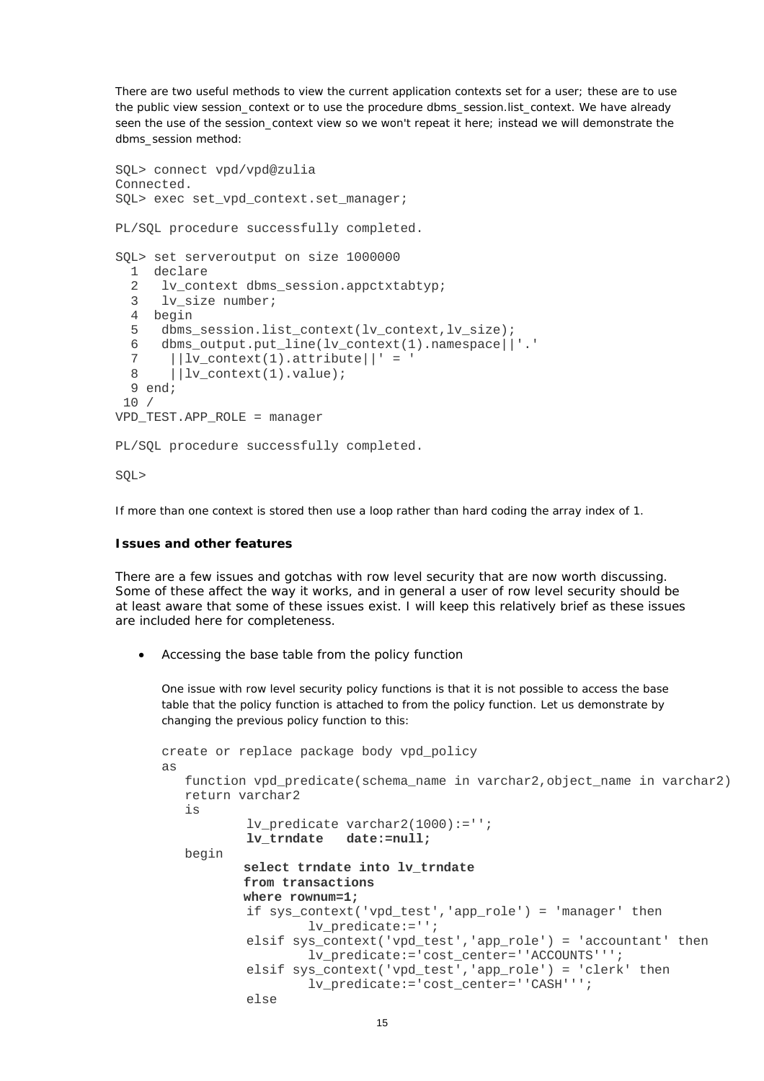There are two useful methods to view the current application contexts set for a user; these are to use the public view *session context* or to use the procedure dbms session.list context. We have already seen the use of the *session\_context* view so we won't repeat it here; instead we will demonstrate the dbms\_session method:

```
SQL> connect vpd/vpd@zulia 
Connected. 
SQL> exec set_vpd_context.set_manager; 
PL/SQL procedure successfully completed. 
SQL> set serveroutput on size 1000000 
   1 declare 
   2 lv_context dbms_session.appctxtabtyp; 
   3 lv_size number; 
   4 begin 
   5 dbms_session.list_context(lv_context,lv_size); 
   6 dbms_output.put_line(lv_context(1).namespace||'.' 
  7 ||lv_context(1).attribute||' = '
  8 |||lv|context(1).value);
   9 end; 
  10 / 
VPD_TEST.APP_ROLE = manager 
PL/SQL procedure successfully completed. 
SQL>
```
If more than one context is stored then use a loop rather than hard coding the array index of 1.

# **Issues and other features**

There are a few issues and gotchas with row level security that are now worth discussing. Some of these affect the way it works, and in general a user of row level security should be at least aware that some of these issues exist. I will keep this relatively brief as these issues are included here for completeness.

• *Accessing the base table from the policy function*

One issue with row level security policy functions is that it is not possible to access the base table that the policy function is attached to from the policy function. Let us demonstrate by changing the previous policy function to this:

```
create or replace package body vpd_policy 
as 
   function vpd predicate(schema name in varchar2, object name in varchar2)
    return varchar2 
    is 
           lv predicate varchar2(1000):='';
            lv_trndate date:=null;
    begin 
            select trndate into lv_trndate 
            from transactions 
            where rownum=1;
            if sys_context('vpd_test','app_role') = 'manager' then 
                     lv_predicate:=''; 
            elsif sys_context('vpd_test','app_role') = 'accountant' then 
                     lv_predicate:='cost_center=''ACCOUNTS'''; 
            elsif sys_context('vpd_test','app_role') = 'clerk' then 
                     lv_predicate:='cost_center=''CASH'''; 
            else
```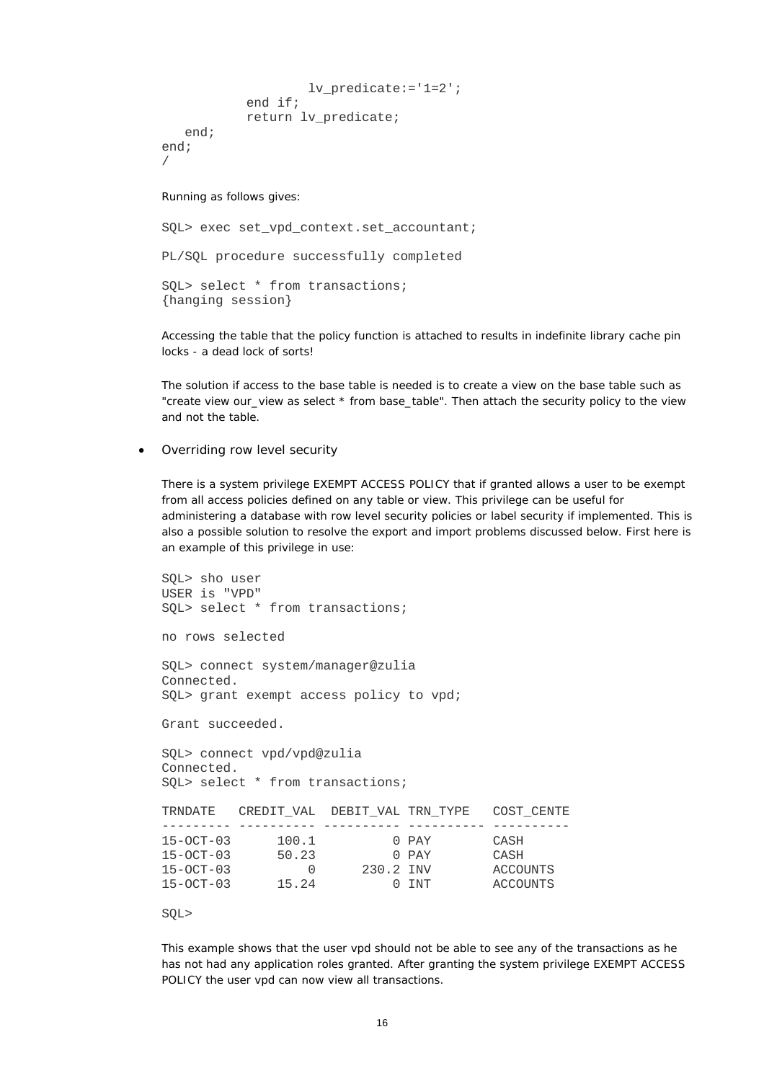```
 lv_predicate:='1=2'; 
              end if; 
              return lv_predicate; 
    end; 
end; 
/
```
#### Running as follows gives:

SQL> exec set\_vpd\_context.set\_accountant; PL/SQL procedure successfully completed SQL> select \* from transactions; {hanging session}

Accessing the table that the policy function is attached to results in indefinite library cache pin locks - a dead lock of sorts!

The solution if access to the base table is needed is to create a view on the base table such as "create view our view as select \* from base table". Then attach the security policy to the view and not the table.

#### • *Overriding row level security*

There is a system privilege EXEMPT ACCESS POLICY that if granted allows a user to be exempt from all access policies defined on any table or view. This privilege can be useful for administering a database with row level security policies or label security if implemented. This is also a possible solution to resolve the export and import problems discussed below. First here is an example of this privilege in use:

SQL> sho user USER is "VPD" SQL> select \* from transactions; no rows selected SQL> connect system/manager@zulia Connected. SQL> grant exempt access policy to vpd; Grant succeeded. SQL> connect vpd/vpd@zulia Connected. SQL> select \* from transactions; TRNDATE CREDIT\_VAL DEBIT\_VAL TRN\_TYPE COST\_CENTE --------- ---------- ---------- ---------- ---------- 15-OCT-03 100.1 0 PAY CASH<br>15-OCT-03 50.23 0 PAY CASH 15-OCT-03 50.23 0 PAY CASH<br>15-OCT-03 0 230.2 INV ACCOUNTS 15-OCT-03 0 230.2 INV ACCOUNTS<br>15-OCT-03 15.24 0 INT ACCOUNTS  $15-OCT-03$   $15.24$ 

#### SQL>

This example shows that the user *vpd* should not be able to see any of the transactions as he has not had any application roles granted. After granting the system privilege EXEMPT ACCESS POLICY the user *vpd* can now view all transactions.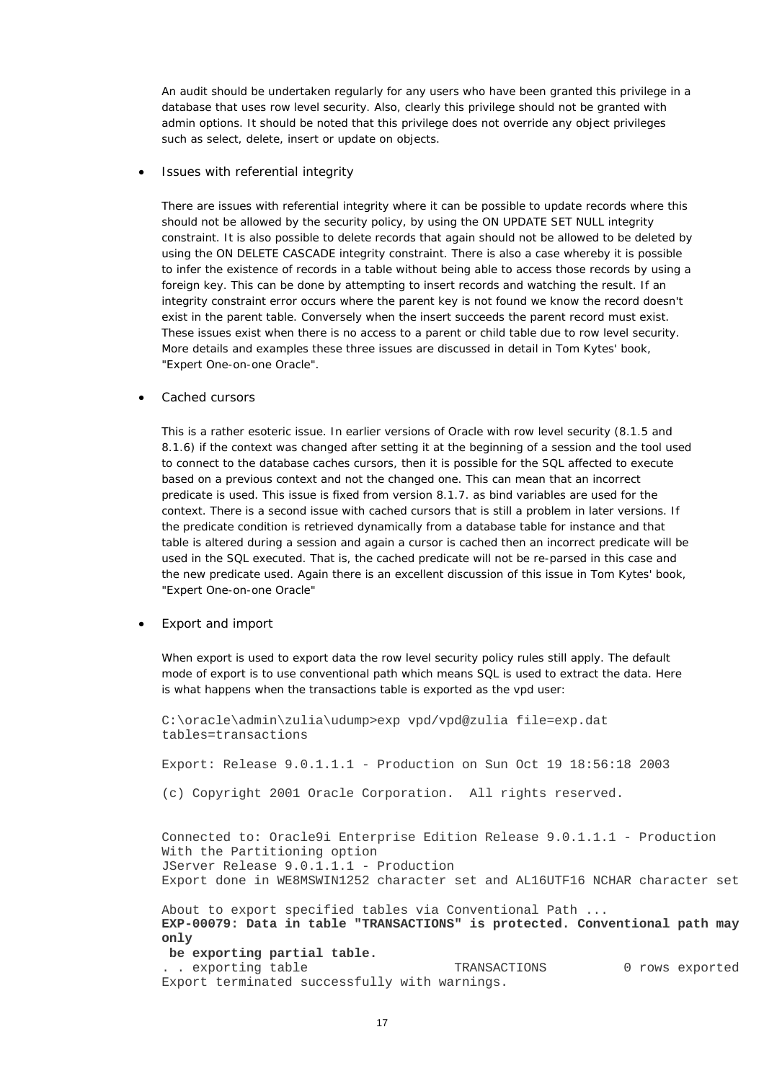An audit should be undertaken regularly for any users who have been granted this privilege in a database that uses row level security. Also, clearly this privilege should not be granted with admin options. It should be noted that this privilege does not override any object privileges such as select, delete, insert or update on objects.

#### • *Issues with referential integrity*

There are issues with referential integrity where it can be possible to update records where this should not be allowed by the security policy, by using the ON UPDATE SET NULL integrity constraint. It is also possible to delete records that again should not be allowed to be deleted by using the ON DELETE CASCADE integrity constraint. There is also a case whereby it is possible to infer the existence of records in a table without being able to access those records by using a foreign key. This can be done by attempting to insert records and watching the result. If an integrity constraint error occurs where the parent key is not found we know the record doesn't exist in the parent table. Conversely when the insert succeeds the parent record must exist. These issues exist when there is no access to a parent or child table due to row level security. More details and examples these three issues are discussed in detail in Tom Kytes' book, "Expert One-on-one Oracle".

#### • *Cached cursors*

This is a rather esoteric issue. In earlier versions of Oracle with row level security (8.1.5 and 8.1.6) if the context was changed after setting it at the beginning of a session and the tool used to connect to the database caches cursors, then it is possible for the SQL affected to execute based on a previous context and not the changed one. This can mean that an incorrect predicate is used. This issue is fixed from version 8.1.7. as bind variables are used for the context. There is a second issue with cached cursors that is still a problem in later versions. If the predicate condition is retrieved dynamically from a database table for instance and that table is altered during a session and again a cursor is cached then an incorrect predicate will be used in the SQL executed. That is, the cached predicate will not be re-parsed in this case and the new predicate used. Again there is an excellent discussion of this issue in Tom Kytes' book, "Expert One-on-one Oracle"

#### • *Export and import*

When export is used to export data the row level security policy rules still apply. The default mode of export is to use conventional path which means SQL is used to extract the data. Here is what happens when the transactions table is exported as the vpd user:

C:\oracle\admin\zulia\udump>exp vpd/vpd@zulia file=exp.dat tables=transactions

Export: Release 9.0.1.1.1 - Production on Sun Oct 19 18:56:18 2003

(c) Copyright 2001 Oracle Corporation. All rights reserved.

Connected to: Oracle9i Enterprise Edition Release 9.0.1.1.1 - Production With the Partitioning option JServer Release 9.0.1.1.1 - Production Export done in WE8MSWIN1252 character set and AL16UTF16 NCHAR character set

About to export specified tables via Conventional Path ... **EXP-00079: Data in table "TRANSACTIONS" is protected. Conventional path may only be exporting partial table.**

.. exporting table TRANSACTIONS 0 rows exported Export terminated successfully with warnings.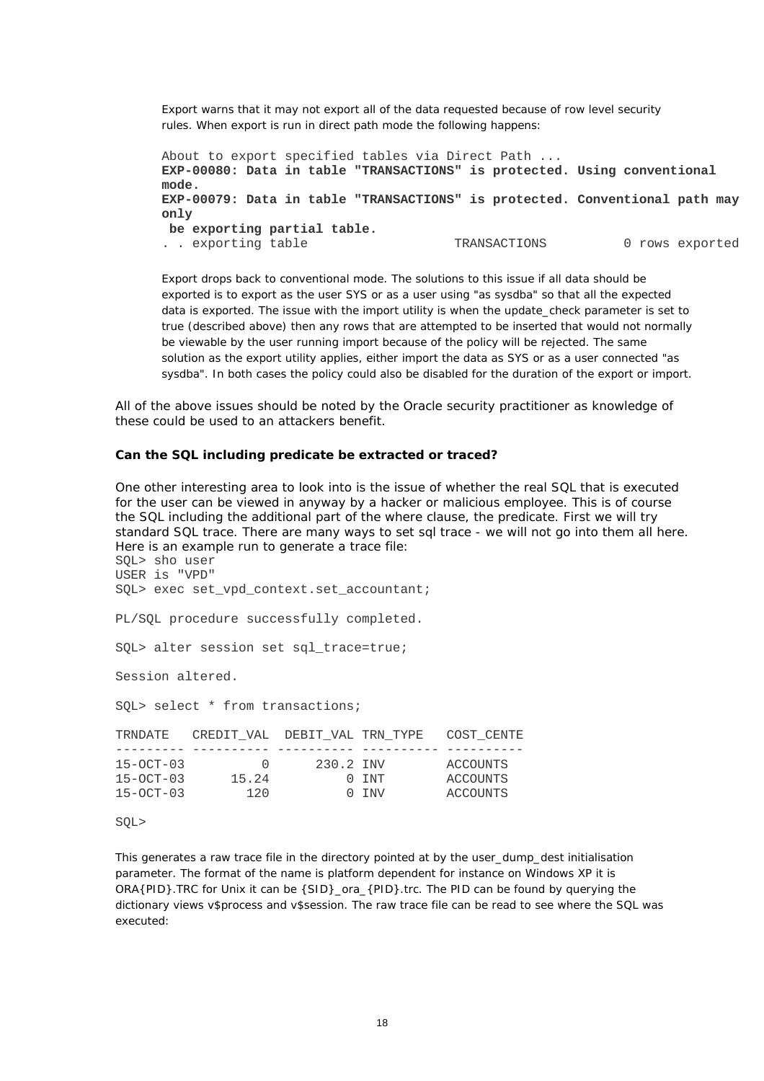Export warns that it may not export all of the data requested because of row level security rules. When export is run in direct path mode the following happens:

```
About to export specified tables via Direct Path ... 
EXP-00080: Data in table "TRANSACTIONS" is protected. Using conventional 
mode. 
EXP-00079: Data in table "TRANSACTIONS" is protected. Conventional path may 
only 
 be exporting partial table.
.. exporting table TRANSACTIONS 0 rows exported
```
Export drops back to conventional mode. The solutions to this issue if all data should be exported is to export as the user SYS or as a user using "as sysdba" so that all the expected data is exported. The issue with the *import* utility is when the update\_check parameter is set to true (described above) then any rows that are attempted to be inserted that would not normally be viewable by the user running import because of the policy will be rejected. The same solution as the *export* utility applies, either import the data as SYS or as a user connected "as sysdba". In both cases the policy could also be disabled for the duration of the export or import.

All of the above issues should be noted by the Oracle security practitioner as knowledge of these could be used to an attackers benefit.

### **Can the SQL including predicate be extracted or traced?**

One other interesting area to look into is the issue of whether the real SQL that is executed for the user can be viewed in anyway by a hacker or malicious employee. This is of course the SQL including the additional part of the *where* clause, the predicate. First we will try standard SQL trace. There are many ways to set sql trace - we will not go into them all here. Here is an example run to generate a trace file:

```
SQL> sho user 
USER is "VPD" 
SQL> exec set_vpd_context.set_accountant; 
PL/SQL procedure successfully completed. 
SQL> alter session set sql_trace=true; 
Session altered. 
SQL> select * from transactions; 
TRNDATE CREDIT_VAL DEBIT_VAL TRN_TYPE COST_CENTE 
--------- ---------- ---------- ---------- ---------- 
15-OCT-03 0 230.2 INV ACCOUNTS 
15-OCT-03 15.24 0 INT ACCOUNTS 
15-OCT-03 120 0 INV ACCOUNTS
```
SQL>

This generates a raw trace file in the directory pointed at by the *user\_dump\_dest* initialisation parameter. The format of the name is platform dependent for instance on Windows XP it is ORA{PID}. TRC for Unix it can be {SID}\_ora\_{PID}.trc. The PID can be found by querying the dictionary views v\$process and v\$session. The raw trace file can be read to see where the SQL was executed: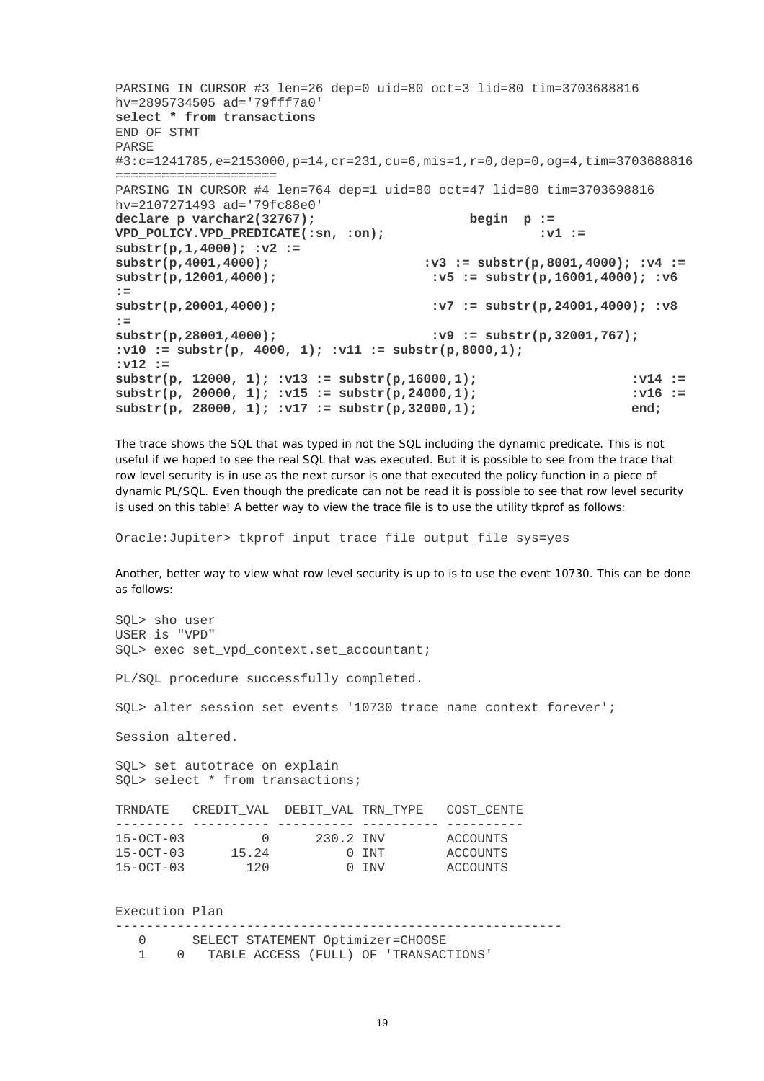PARSING IN CURSOR #3 len=26 dep=0 uid=80 oct=3 lid=80 tim=3703688816 hv=2895734505 ad='79fff7a0' **select \* from transactions** END OF STMT PARSE #3:c=1241785,e=2153000,p=14,cr=231,cu=6,mis=1,r=0,dep=0,og=4,tim=3703688816 ===================== PARSING IN CURSOR #4 len=764 dep=1 uid=80 oct=47 lid=80 tim=3703698816 hv=2107271493 ad='79fc88e0' **declare p varchar2(32767); begin p := VPD\_POLICY.VPD\_PREDICATE(:sn, :on);**  $:$  $:$  $:$  $:$  $:$ **substr(p,1,4000); :v2 := substr(p,4001,4000); :v3 := substr(p,8001,4000); :v4 := substr(p,12001,4000); :v5 := substr(p,16001,4000); :v6 := substr(p,20001,4000); :v7 := substr(p,24001,4000); :v8 :=**  substr(p,28001,4000);  $\cdot v9 := \text{substr}(p,32001,767);$ **:v10 := substr(p, 4000, 1); :v11 := substr(p,8000,1); :v12 :=**   $\text{substr}(p, 12000, 1); \text{ v13} := \text{substr}(p,16000,1);$   $\text{v14} :=$ substr(p, 20000, 1); :v15 := substr(p, 24000, 1); :v16 := **substr(p, 28000, 1); :v17 := substr(p,32000,1); end;**

The trace shows the SQL that was typed in not the SQL including the dynamic predicate. This is not useful if we hoped to see the *real SQL* that was executed. But it is possible to see from the trace that row level security is in use as the next cursor is one that executed the policy function in a piece of dynamic PL/SQL. Even though the predicate can not be read it is possible to see that row level security is used on this table! A better way to view the trace file is to use the utility *tkprof* as follows:

Oracle:Jupiter> tkprof input\_trace\_file output\_file sys=yes

Another, better way to view what row level security is up to is to use the event 10730. This can be done as follows:

SQL> sho user USER is "VPD" SQL> exec set\_vpd\_context.set\_accountant;

PL/SQL procedure successfully completed.

SQL> alter session set events '10730 trace name context forever';

Session altered.

SQL> set autotrace on explain SQL> select \* from transactions;

| TRNDATE         | CREDIT VAL DEBIT VAL TRN TYPE |           |      | COST CENTE |
|-----------------|-------------------------------|-----------|------|------------|
|                 |                               |           |      |            |
| $15 - OCT - 03$ | $\left( \right)$              | 230.2 TNV |      | ACCOUNTS   |
| $15 - OCT - 03$ | 15.24                         |           | 0.1N | ACCOUNTS   |
| $15 - OCT - 03$ | 120                           |           | 0.7N | ACCOUNTS   |

Execution Plan

|  |  | SELECT STATEMENT Optimizer=CHOOSE |
|--|--|-----------------------------------|
|--|--|-----------------------------------|

1 0 TABLE ACCESS (FULL) OF 'TRANSACTIONS'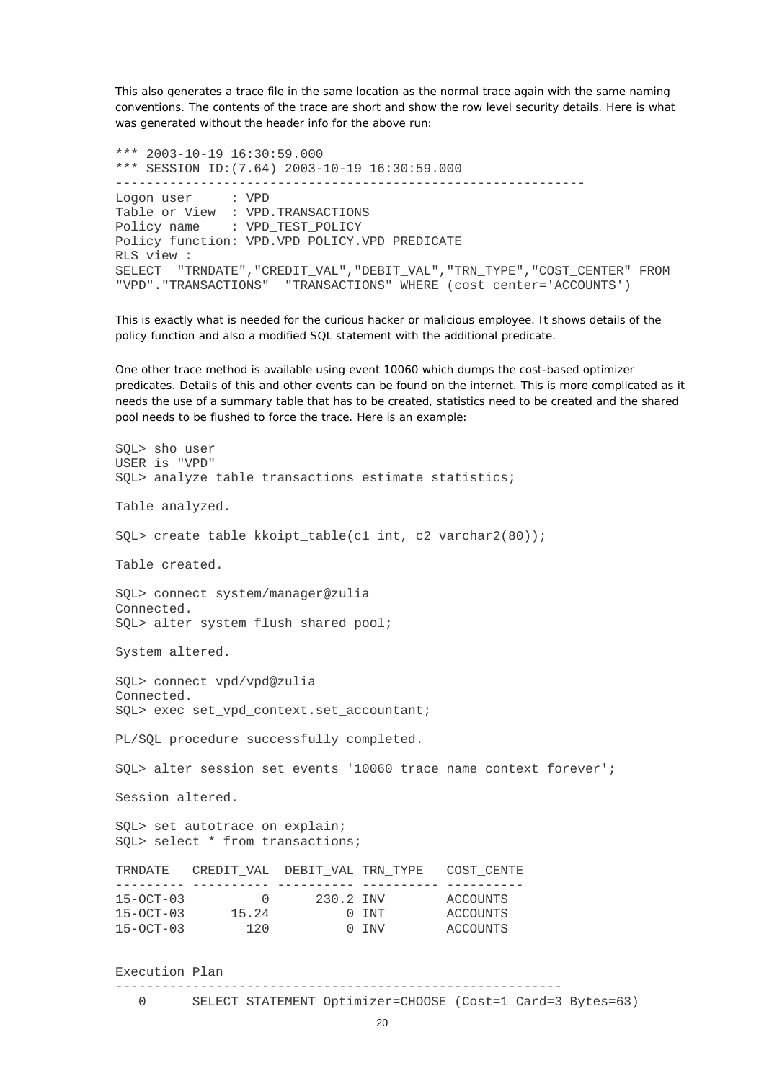This also generates a trace file in the same location as the normal trace again with the same naming conventions. The contents of the trace are short and show the row level security details. Here is what was generated without the header info for the above run:

\*\*\* 2003-10-19 16:30:59.000 \*\*\* SESSION ID:(7.64) 2003-10-19 16:30:59.000 ------------------------------------------------------------- Logon user : VPD Table or View : VPD.TRANSACTIONS Policy name : VPD TEST POLICY Policy function: VPD.VPD\_POLICY.VPD\_PREDICATE RLS view : SELECT "TRNDATE","CREDIT\_VAL","DEBIT\_VAL","TRN\_TYPE","COST\_CENTER" FROM "VPD"."TRANSACTIONS" "TRANSACTIONS" WHERE (cost\_center='ACCOUNTS')

This is exactly what is needed for the curious hacker or malicious employee. It shows details of the policy function and also a modified SQL statement with the additional predicate.

One other trace method is available using event 10060 which dumps the cost-based optimizer predicates. Details of this and other events can be found on the internet. This is more complicated as it needs the use of a summary table that has to be created, statistics need to be created and the shared pool needs to be flushed to force the trace. Here is an example:

SQL> sho user USER is "VPD" SQL> analyze table transactions estimate statistics; Table analyzed. SQL> create table kkoipt\_table(c1 int, c2 varchar2(80)); Table created. SQL> connect system/manager@zulia Connected. SQL> alter system flush shared\_pool; System altered. SQL> connect vpd/vpd@zulia Connected. SOL> exec set vpd context.set accountant; PL/SQL procedure successfully completed. SQL> alter session set events '10060 trace name context forever'; Session altered. SQL> set autotrace on explain; SQL> select \* from transactions; TRNDATE CREDIT\_VAL DEBIT\_VAL TRN\_TYPE COST\_CENTE --------- ---------- ---------- ---------- ---------- 15-OCT-03 0 230.2 INV ACCOUNTS 15-OCT-03 15.24 0 INT ACCOUNTS 15-OCT-03 120 0 INV ACCOUNTS

Execution Plan

 $-$ 

0 SELECT STATEMENT Optimizer=CHOOSE (Cost=1 Card=3 Bytes=63)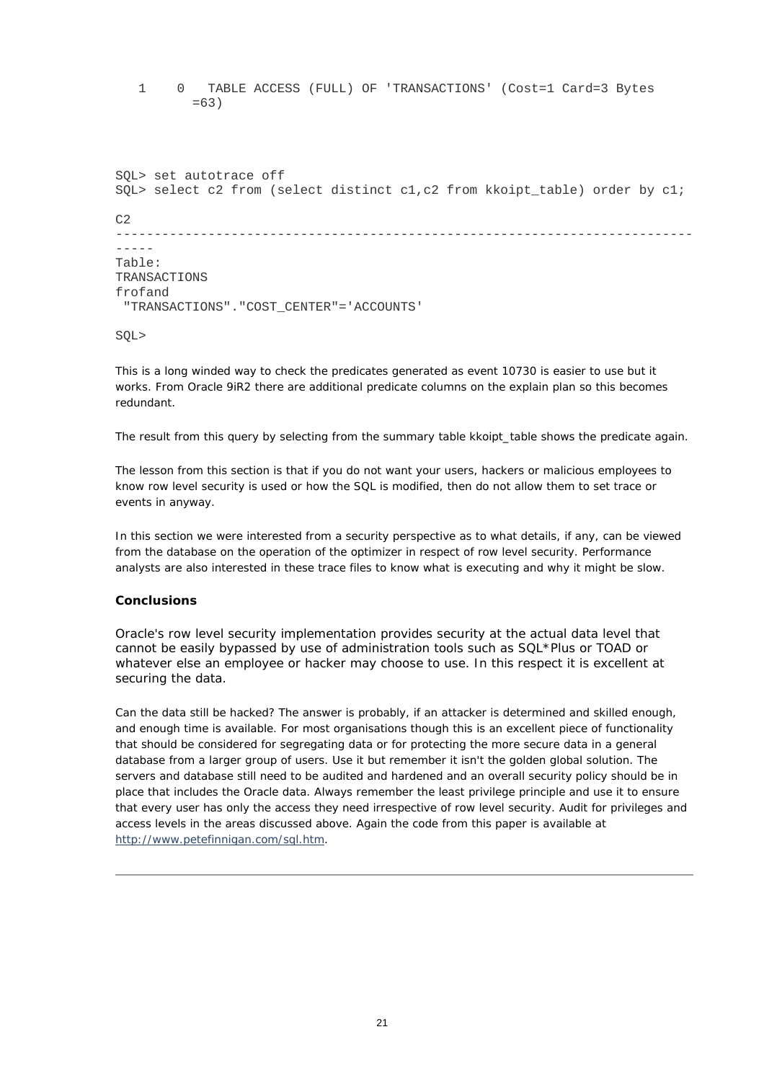1 0 TABLE ACCESS (FULL) OF 'TRANSACTIONS' (Cost=1 Card=3 Bytes  $=63$ 

```
SQL> set autotrace off 
SQL> select c2 from (select distinct c1,c2 from kkoipt_table) order by c1; 
C<sub>2</sub>---------------------------------------------------------------------------
----- 
Table: 
TRANSACTIONS 
frofand 
  "TRANSACTIONS"."COST_CENTER"='ACCOUNTS'
```
SQL>

This is a long winded way to check the predicates generated as event 10730 is easier to use but it works. From Oracle 9iR2 there are additional predicate columns on the explain plan so this becomes redundant.

The result from this query by selecting from the summary table *kkoipt\_table* shows the predicate again.

The lesson from this section is that if you do not want your users, hackers or malicious employees to know row level security is used or how the SQL is modified, then do not allow them to set trace or events in anyway.

In this section we were interested from a security perspective as to what details, if any, can be viewed from the database on the operation of the optimizer in respect of row level security. Performance analysts are also interested in these trace files to know what is executing and why it might be slow.

### **Conclusions**

Oracle's row level security implementation provides security at the actual data level that cannot be easily bypassed by use of administration tools such as *SQL\*Plus* or *TOAD* or whatever else an employee or hacker may choose to use. In this respect it is excellent at securing the data.

Can the data still be hacked? The answer is probably, if an attacker is determined and skilled enough, and enough time is available. For most organisations though this is an excellent piece of functionality that should be considered for segregating data or for protecting the more secure data in a general database from a larger group of users. Use it but remember it isn't the golden global solution. The servers and database still need to be audited and hardened and an overall security policy should be in place that includes the Oracle data. Always remember the *least privilege principle* and use it to ensure that every user has only the access they need irrespective of row level security. Audit for privileges and access levels in the areas discussed above. Again the code from this paper is available at [http://www.petefinnigan.com/sql.htm.](http://www.petefinnigan.com/sql.htm)